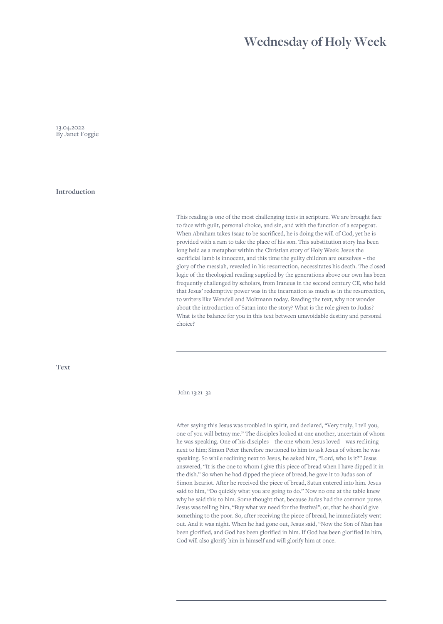## **Wednesday of Holy Week**

13.04.2022 By Janet Foggie

**Introduction**

This reading is one of the most challenging texts in scripture. We are brought face to face with guilt, personal choice, and sin, and with the function of a scapegoat. When Abraham takes Isaac to be sacrificed, he is doing the will of God, yet he is provided with a ram to take the place of his son. This substitution story has been long held as a metaphor within the Christian story of Holy Week: Jesus the sacrificial lamb is innocent, and this time the guilty children are ourselves – the glory of the messiah, revealed in his resurrection, necessitates his death. The closed logic of the theological reading supplied by the generations above our own has been frequently challenged by scholars, from Iraneus in the second century CE, who held that Jesus' redemptive power was in the incarnation as much as in the resurrection, to writers like Wendell and Moltmann today. Reading the text, why not wonder about the introduction of Satan into the story? What is the role given to Judas? What is the balance for you in this text between unavoidable destiny and personal choice?

**Text**

## John 13:21–32

After saying this Jesus was troubled in spirit, and declared, "Very truly, I tell you, one of you will betray me." The disciples looked at one another, uncertain of whom he was speaking. One of his disciples—the one whom Jesus loved—was reclining next to him; Simon Peter therefore motioned to him to ask Jesus of whom he was speaking. So while reclining next to Jesus, he asked him, "Lord, who is it?" Jesus answered, "It is the one to whom I give this piece of bread when I have dipped it in the dish." So when he had dipped the piece of bread, he gave it to Judas son of Simon Iscariot. After he received the piece of bread, Satan entered into him. Jesus said to him, "Do quickly what you are going to do." Now no one at the table knew why he said this to him. Some thought that, because Judas had the common purse, Jesus was telling him, "Buy what we need for the festival"; or, that he should give something to the poor. So, after receiving the piece of bread, he immediately went out. And it was night. When he had gone out, Jesus said, "Now the Son of Man has been glorified, and God has been glorified in him. If God has been glorified in him, God will also glorify him in himself and will glorify him at once.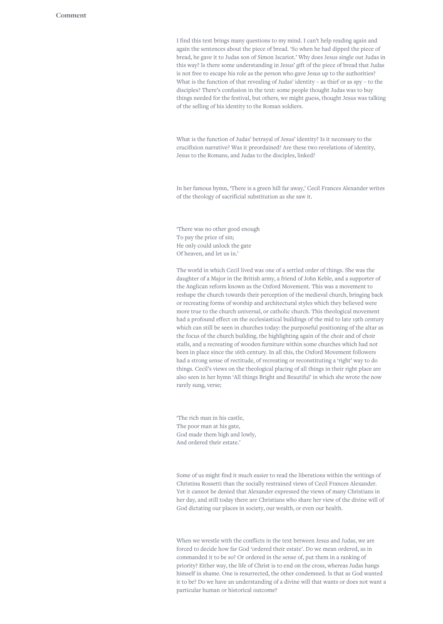I find this text brings many questions to my mind. I can't help reading again and again the sentences about the piece of bread. 'So when he had dipped the piece of bread, he gave it to Judas son of Simon Iscariot.' Why does Jesus single out Judas in this way? Is there some understanding in Jesus' gift of the piece of bread that Judas is not free to escape his role as the person who gave Jesus up to the authorities? What is the function of that revealing of Judas' identity – as thief or as spy – to the disciples? There's confusion in the text: some people thought Judas was to buy things needed for the festival, but others, we might guess, thought Jesus was talking of the selling of his identity to the Roman soldiers.

What is the function of Judas' betrayal of Jesus' identity? Is it necessary to the crucifixion narrative? Was it preordained? Are these two revelations of identity, Jesus to the Romans, and Judas to the disciples, linked?

In her famous hymn, 'There is a green hill far away,' Cecil Frances Alexander writes of the theology of sacrificial substitution as she saw it.

'There was no other good enough To pay the price of sin; He only could unlock the gate Of heaven, and let us in.'

The world in which Cecil lived was one of a settled order of things. She was the daughter of a Major in the British army, a friend of John Keble, and a supporter of the Anglican reform known as the Oxford Movement. This was a movement to reshape the church towards their perception of the medieval church, bringing back or recreating forms of worship and architectural styles which they believed were more true to the church universal, or catholic church. This theological movement had a profound effect on the ecclesiastical buildings of the mid to late 19th century which can still be seen in churches today: the purposeful positioning of the altar as the focus of the church building, the highlighting again of the choir and of choir stalls, and a recreating of wooden furniture within some churches which had not been in place since the 16th century. In all this, the Oxford Movement followers had a strong sense of rectitude, of recreating or reconstituting a 'right' way to do things. Cecil's views on the theological placing of all things in their right place are also seen in her hymn 'All things Bright and Beautiful' in which she wrote the now rarely sung, verse;

'The rich man in his castle, The poor man at his gate, God made them high and lowly, And ordered their estate.'

Some of us might find it much easier to read the liberations within the writings of Christina Rossetti than the socially restrained views of Cecil Frances Alexander. Yet it cannot be denied that Alexander expressed the views of many Christians in her day, and still today there are Christians who share her view of the divine will of God dictating our places in society, our wealth, or even our health.

When we wrestle with the conflicts in the text between Jesus and Judas, we are forced to decide how far God 'ordered their estate'. Do we mean ordered, as in commanded it to be so? Or ordered in the sense of, put them in a ranking of priority? Either way, the life of Christ is to end on the cross, whereas Judas hangs himself in shame. One is resurrected, the other condemned. Is that as God wanted it to be? Do we have an understanding of a divine will that wants or does not want a particular human or historical outcome?